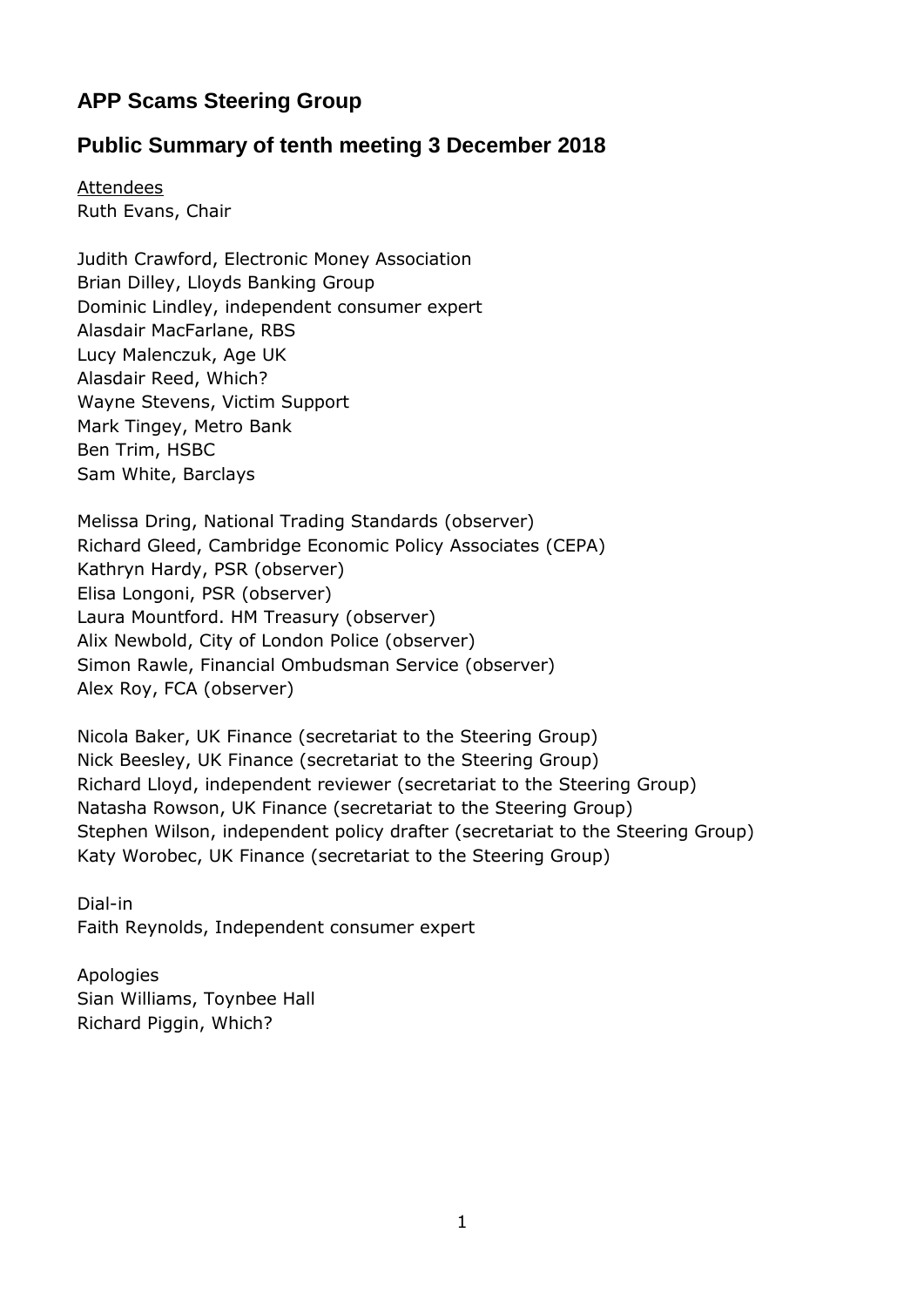## **APP Scams Steering Group**

## **Public Summary of tenth meeting 3 December 2018**

**Attendees** Ruth Evans, Chair

Judith Crawford, Electronic Money Association Brian Dilley, Lloyds Banking Group Dominic Lindley, independent consumer expert Alasdair MacFarlane, RBS Lucy Malenczuk, Age UK Alasdair Reed, Which? Wayne Stevens, Victim Support Mark Tingey, Metro Bank Ben Trim, HSBC Sam White, Barclays

Melissa Dring, National Trading Standards (observer) Richard Gleed, Cambridge Economic Policy Associates (CEPA) Kathryn Hardy, PSR (observer) Elisa Longoni, PSR (observer) Laura Mountford. HM Treasury (observer) Alix Newbold, City of London Police (observer) Simon Rawle, Financial Ombudsman Service (observer) Alex Roy, FCA (observer)

Nicola Baker, UK Finance (secretariat to the Steering Group) Nick Beesley, UK Finance (secretariat to the Steering Group) Richard Lloyd, independent reviewer (secretariat to the Steering Group) Natasha Rowson, UK Finance (secretariat to the Steering Group) Stephen Wilson, independent policy drafter (secretariat to the Steering Group) Katy Worobec, UK Finance (secretariat to the Steering Group)

Dial-in Faith Reynolds, Independent consumer expert

Apologies Sian Williams, Toynbee Hall Richard Piggin, Which?